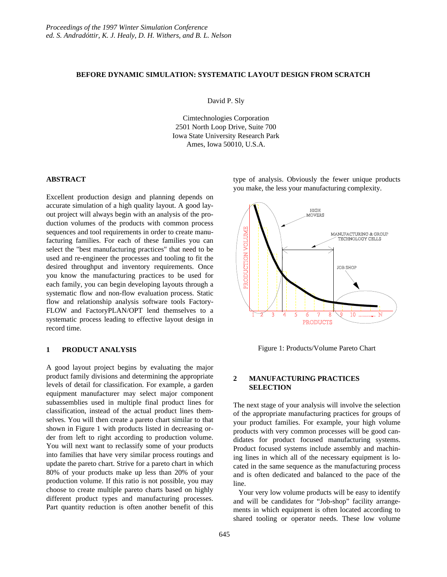#### **BEFORE DYNAMIC SIMULATION: SYSTEMATIC LAYOUT DESIGN FROM SCRATCH**

David P. Sly

Cimtechnologies Corporation 2501 North Loop Drive, Suite 700 Iowa State University Research Park Ames, Iowa 50010, U.S.A.

## **ABSTRACT**

Excellent production design and planning depends on accurate simulation of a high quality layout. A good layout project will always begin with an analysis of the production volumes of the products with common process sequences and tool requirements in order to create manufacturing families. For each of these families you can select the "best manufacturing practices" that need to be used and re-engineer the processes and tooling to fit the desired throughput and inventory requirements. Once you know the manufacturing practices to be used for each family, you can begin developing layouts through a systematic flow and non-flow evaluation process. Static flow and relationship analysis software tools Factory-FLOW and FactoryPLAN/OPT lend themselves to a systematic process leading to effective layout design in record time.

### **1 PRODUCT ANALYSIS**

A good layout project begins by evaluating the major product family divisions and determining the appropriate levels of detail for classification. For example, a garden equipment manufacturer may select major component subassemblies used in multiple final product lines for classification, instead of the actual product lines themselves. You will then create a pareto chart similar to that shown in Figure 1 with products listed in decreasing order from left to right according to production volume. You will next want to reclassify some of your products into families that have very similar process routings and update the pareto chart. Strive for a pareto chart in which 80% of your products make up less than 20% of your production volume. If this ratio is not possible, you may choose to create multiple pareto charts based on highly different product types and manufacturing processes. Part quantity reduction is often another benefit of this type of analysis. Obviously the fewer unique products you make, the less your manufacturing complexity.



Figure 1: Products/Volume Pareto Chart

# **2 MANUFACTURING PRACTICES SELECTION**

The next stage of your analysis will involve the selection of the appropriate manufacturing practices for groups of your product families. For example, your high volume products with very common processes will be good candidates for product focused manufacturing systems. Product focused systems include assembly and machining lines in which all of the necessary equipment is located in the same sequence as the manufacturing process and is often dedicated and balanced to the pace of the line.

Your very low volume products will be easy to identify and will be candidates for "Job-shop" facility arrangements in which equipment is often located according to shared tooling or operator needs. These low volume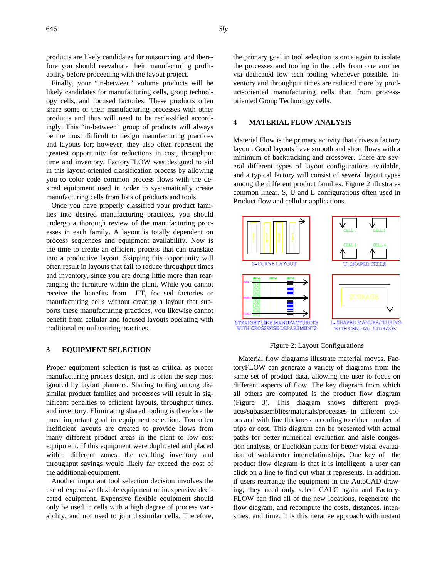products are likely candidates for outsourcing, and therefore you should reevaluate their manufacturing profitability before proceeding with the layout project.

Finally, your "in-between" volume products will be likely candidates for manufacturing cells, group technology cells, and focused factories. These products often share some of their manufacturing processes with other products and thus will need to be reclassified accordingly. This "in-between" group of products will always be the most difficult to design manufacturing practices and layouts for; however, they also often represent the greatest opportunity for reductions in cost, throughput time and inventory. FactoryFLOW was designed to aid in this layout-oriented classification process by allowing you to color code common process flows with the desired equipment used in order to systematically create manufacturing cells from lists of products and tools.

Once you have properly classified your product families into desired manufacturing practices, you should undergo a thorough review of the manufacturing processes in each family. A layout is totally dependent on process sequences and equipment availability. Now is the time to create an efficient process that can translate into a productive layout. Skipping this opportunity will often result in layouts that fail to reduce throughput times and inventory, since you are doing little more than rearranging the furniture within the plant. While you cannot receive the benefits from JIT, focused factories or manufacturing cells without creating a layout that supports these manufacturing practices, you likewise cannot benefit from cellular and focused layouts operating with traditional manufacturing practices.

#### **3 EQUIPMENT SELECTION**

Proper equipment selection is just as critical as proper manufacturing process design, and is often the step most ignored by layout planners. Sharing tooling among dissimilar product families and processes will result in significant penalties to efficient layouts, throughput times, and inventory. Eliminating shared tooling is therefore the most important goal in equipment selection. Too often inefficient layouts are created to provide flows from many different product areas in the plant to low cost equipment. If this equipment were duplicated and placed within different zones, the resulting inventory and throughput savings would likely far exceed the cost of the additional equipment.

Another important tool selection decision involves the use of expensive flexible equipment or inexpensive dedicated equipment. Expensive flexible equipment should only be used in cells with a high degree of process variability, and not used to join dissimilar cells. Therefore,

the primary goal in tool selection is once again to isolate the processes and tooling in the cells from one another via dedicated low tech tooling whenever possible. Inventory and throughput times are reduced more by product-oriented manufacturing cells than from processoriented Group Technology cells.

### **4 MATERIAL FLOW ANALYSIS**

Material Flow is the primary activity that drives a factory layout. Good layouts have smooth and short flows with a minimum of backtracking and crossover. There are several different types of layout configurations available, and a typical factory will consist of several layout types among the different product families. Figure 2 illustrates common linear, S, U and L configurations often used in Product flow and cellular applications.



Figure 2: Layout Configurations

Material flow diagrams illustrate material moves. FactoryFLOW can generate a variety of diagrams from the same set of product data, allowing the user to focus on different aspects of flow. The key diagram from which all others are computed is the product flow diagram (Figure 3). This diagram shows different products/subassemblies/materials/processes in different colors and with line thickness according to either number of trips or cost. This diagram can be presented with actual paths for better numerical evaluation and aisle congestion analysis, or Euclidean paths for better visual evaluation of workcenter interrelationships. One key of the product flow diagram is that it is intelligent: a user can click on a line to find out what it represents. In addition, if users rearrange the equipment in the AutoCAD drawing, they need only select CALC again and Factory-FLOW can find all of the new locations, regenerate the flow diagram, and recompute the costs, distances, intensities, and time. It is this iterative approach with instant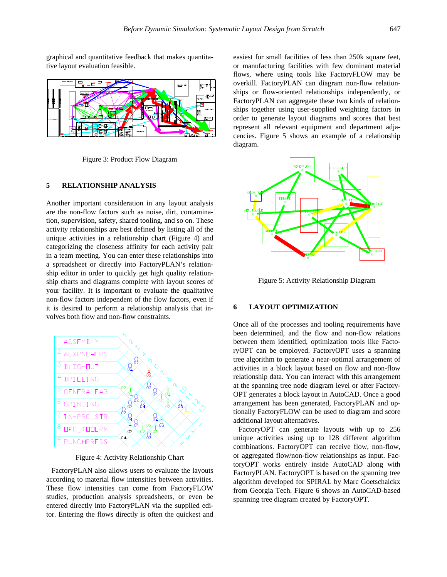graphical and quantitative feedback that makes quantitative layout evaluation feasible.



Figure 3: Product Flow Diagram

### **5 RELATIONSHIP ANALYSIS**

Another important consideration in any layout analysis are the non-flow factors such as noise, dirt, contamination, supervision, safety, shared tooling, and so on. These activity relationships are best defined by listing all of the unique activities in a relationship chart (Figure 4) and categorizing the closeness affinity for each activity pair in a team meeting. You can enter these relationships into a spreadsheet or directly into FactoryPLAN's relationship editor in order to quickly get high quality relationship charts and diagrams complete with layout scores of your facility. It is important to evaluate the qualitative non-flow factors independent of the flow factors, even if it is desired to perform a relationship analysis that involves both flow and non-flow constraints.



Figure 4: Activity Relationship Chart

FactoryPLAN also allows users to evaluate the layouts according to material flow intensities between activities. These flow intensities can come from FactoryFLOW studies, production analysis spreadsheets, or even be entered directly into FactoryPLAN via the supplied editor. Entering the flows directly is often the quickest and easiest for small facilities of less than 250k square feet, or manufacturing facilities with few dominant material flows, where using tools like FactoryFLOW may be overkill. FactoryPLAN can diagram non-flow relationships or flow-oriented relationships independently, or FactoryPLAN can aggregate these two kinds of relationships together using user-supplied weighting factors in order to generate layout diagrams and scores that best represent all relevant equipment and department adjacencies. Figure 5 shows an example of a relationship diagram.



Figure 5: Activity Relationship Diagram

# **6 LAYOUT OPTIMIZATION**

Once all of the processes and tooling requirements have been determined, and the flow and non-flow relations between them identified, optimization tools like FactoryOPT can be employed. FactoryOPT uses a spanning tree algorithm to generate a near-optimal arrangement of activities in a block layout based on flow and non-flow relationship data. You can interact with this arrangement at the spanning tree node diagram level or after Factory-OPT generates a block layout in AutoCAD. Once a good arrangement has been generated, FactoryPLAN and optionally FactoryFLOW can be used to diagram and score additional layout alternatives.

FactoryOPT can generate layouts with up to 256 unique activities using up to 128 different algorithm combinations. FactoryOPT can receive flow, non-flow, or aggregated flow/non-flow relationships as input. FactoryOPT works entirely inside AutoCAD along with FactoryPLAN. FactoryOPT is based on the spanning tree algorithm developed for SPIRAL by Marc Goetschalckx from Georgia Tech. Figure 6 shows an AutoCAD-based spanning tree diagram created by FactoryOPT.